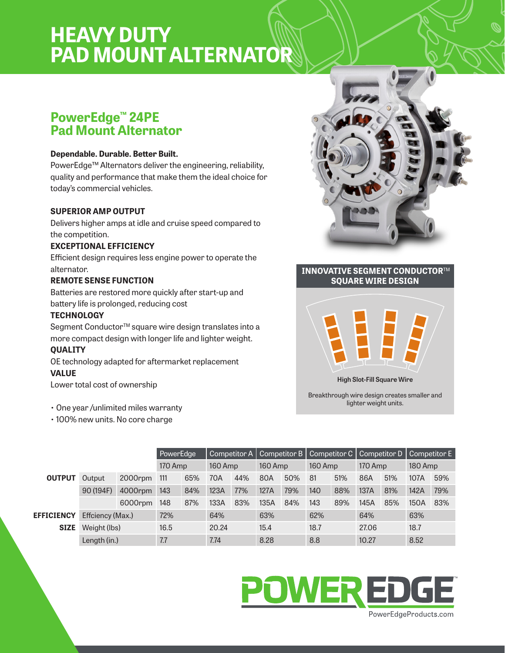# **HEAVY DUTY PAD MOUNT ALTERNATOR**

## **PowerEdge™ 24PE Pad Mount Alternator**

#### **Dependable. Durable. Better Built.**

PowerEdge™ Alternators deliver the engineering, reliability, quality and performance that make them the ideal choice for today's commercial vehicles.

#### **SUPERIOR AMP OUTPUT**

Delivers higher amps at idle and cruise speed compared to the competition.

#### **EXCEPTIONAL EFFICIENCY**

Efficient design requires less engine power to operate the alternator.

#### **REMOTE SENSE FUNCTION**

Batteries are restored more quickly after start-up and battery life is prolonged, reducing cost

#### **TECHNOLOGY**

Segment Conductor<sup>™</sup> square wire design translates into a more compact design with longer life and lighter weight. **QUALITY**

OE technology adapted for aftermarket replacement **VALUE**

Lower total cost of ownership

- One year /unlimited miles warranty
- 100% new units. No core charge



#### **INNOVATIVE SEGMENT CONDUCTOR**TM **SQUARE WIRE DESIGN**



**High Slot-Fill Square Wire**

Breakthrough wire design creates smaller and lighter weight units.

|                   | PowerEdge        |         |         |     | Competitor A   Competitor B   Competitor C |     |         |     | Competitor D   Competitor E |     |         |     |         |     |
|-------------------|------------------|---------|---------|-----|--------------------------------------------|-----|---------|-----|-----------------------------|-----|---------|-----|---------|-----|
|                   |                  |         | 170 Amp |     | 160 Amp                                    |     | 160 Amp |     | 160 Amp                     |     | 170 Amp |     | 180 Amp |     |
| <b>OUTPUT</b>     | <b>Output</b>    | 2000rpm | 111     | 65% | 70A                                        | 44% | 80A     | 50% | 81                          | 51% | 86A     | 51% | 107A    | 59% |
|                   | 90 (194F)        | 4000rpm | 143     | 84% | 123A                                       | 77% | 127A    | 79% | 140                         | 88% | 137A    | 81% | 142A    | 79% |
|                   |                  | 6000rpm | 148     | 87% | 133A                                       | 83% | 135A    | 84% | 143                         | 89% | 145A    | 85% | 150A    | 83% |
| <b>EFFICIENCY</b> | Effciency (Max.) |         | 72%     |     | 64%                                        |     | 63%     |     | 62%                         |     | 64%     |     | 63%     |     |
| <b>SIZE</b>       | Weight (lbs)     |         | 16.5    |     | 20.24                                      |     | 15.4    |     | 18.7                        |     | 27.06   |     | 18.7    |     |
|                   | Length (in.)     |         | 7.7     |     | 7.74                                       |     | 8.28    |     | 8.8                         |     | 10.27   |     | 8.52    |     |